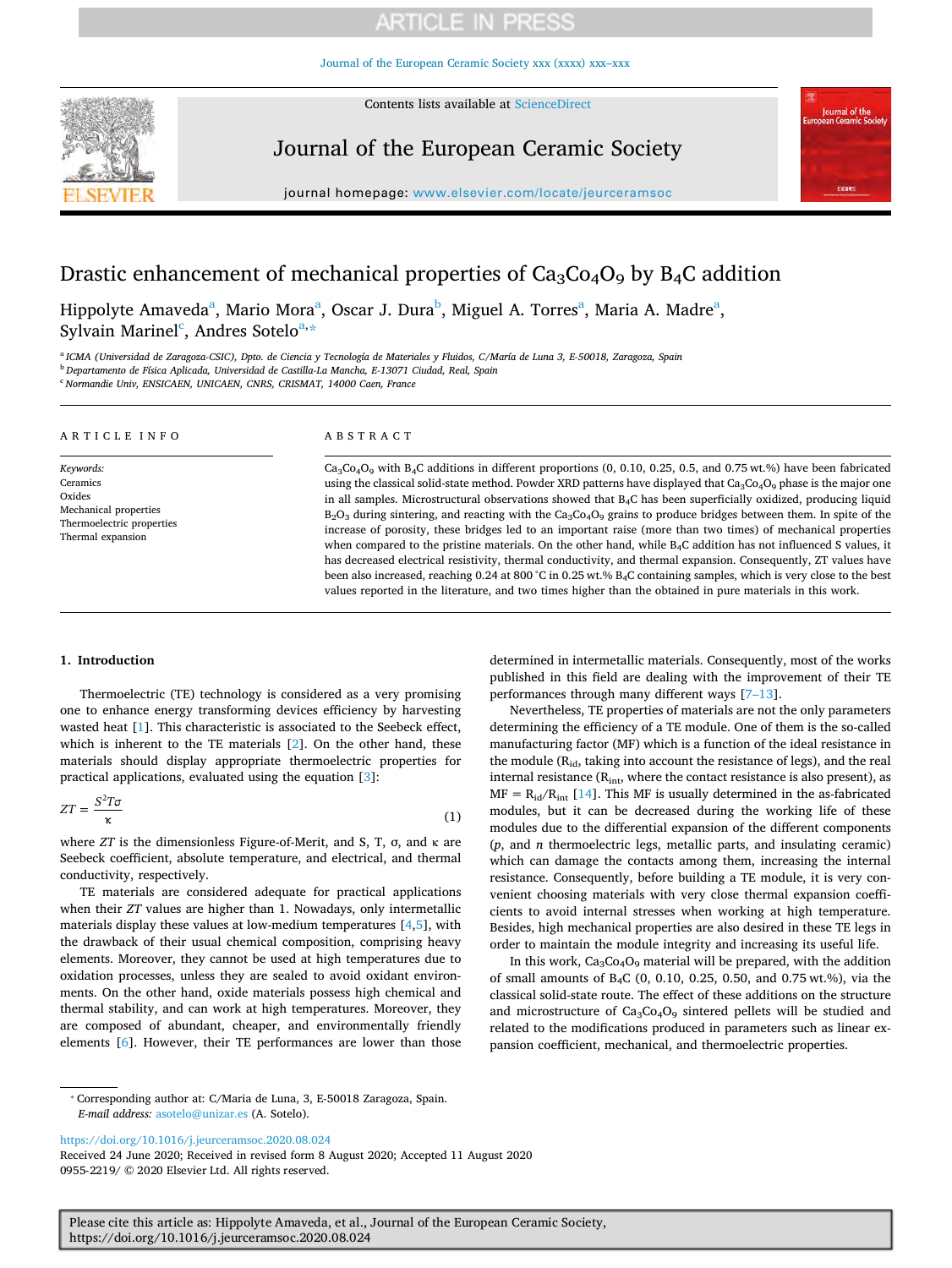# **ARTICLE IN PRESS**

[Journal of the European Ceramic Society xxx \(xxxx\) xxx–xxx](https://doi.org/10.1016/j.jeurceramsoc.2020.08.024)

Contents lists available at [ScienceDirect](http://www.sciencedirect.com/science/journal/09552219) 



Journal of the European Ceramic Society



journal homepage: [www.elsevier.com/locate/jeurceramsoc](https://www.elsevier.com/locate/jeurceramsoc) 

# Drastic enhancement of mechanical properties of  $Ca<sub>3</sub>Co<sub>4</sub>O<sub>9</sub>$  by B<sub>4</sub>C addition

Hippolyte Am[a](#page-0-0)veda<sup>a</sup>, Mario Mora<sup>a</sup>, Oscar J. Dura<sup>[b](#page-0-1)</sup>, Miguel A. Torres<sup>a</sup>, Maria A. Madre<sup>a</sup>, Sylvain Marinel<sup>[c](#page-0-2)</sup>, Andres Sotelo<sup>[a,](#page-0-0)[\\*](#page-0-3)</sup>

<span id="page-0-2"></span><span id="page-0-1"></span><span id="page-0-0"></span><sup>a</sup>*ICMA (Universidad de Zaragoza-CSIC), Dpto. de Ciencia y Tecnología de Materiales y Fluidos, C/María de Luna 3, E-50018, Zaragoza, Spain*  <sup>b</sup>*Departamento de Física Aplicada, Universidad de Castilla-La Mancha, E-13071 Ciudad, Real, Spain*  <sup>c</sup>*Normandie Univ, ENSICAEN, UNICAEN, CNRS, CRISMAT, 14000 Caen, France* 

| ARTICLE INFO                                                                                               | ABSTRACT                                                                                                                                                                                                                                                                                                                                                                                                                                                                                                                                                                                                                                                                                                                                                                                                                                                                                                                                                                                                                                                                                                                                                              |
|------------------------------------------------------------------------------------------------------------|-----------------------------------------------------------------------------------------------------------------------------------------------------------------------------------------------------------------------------------------------------------------------------------------------------------------------------------------------------------------------------------------------------------------------------------------------------------------------------------------------------------------------------------------------------------------------------------------------------------------------------------------------------------------------------------------------------------------------------------------------------------------------------------------------------------------------------------------------------------------------------------------------------------------------------------------------------------------------------------------------------------------------------------------------------------------------------------------------------------------------------------------------------------------------|
| Keywords:<br>Ceramics<br>Oxides<br>Mechanical properties<br>Thermoelectric properties<br>Thermal expansion | Ca <sub>3</sub> Co <sub>4</sub> O <sub>9</sub> with B <sub>4</sub> C additions in different proportions (0, 0.10, 0.25, 0.5, and 0.75 wt.%) have been fabricated<br>using the classical solid-state method. Powder XRD patterns have displayed that $Ca_3Co_4O_9$ phase is the major one<br>in all samples. Microstructural observations showed that $B_4C$ has been superficially oxidized, producing liquid<br>$B_2O_3$ during sintering, and reacting with the Ca <sub>3</sub> C <sub>04</sub> O <sub>9</sub> grains to produce bridges between them. In spite of the<br>increase of porosity, these bridges led to an important raise (more than two times) of mechanical properties<br>when compared to the pristine materials. On the other hand, while $B_4C$ addition has not influenced S values, it<br>has decreased electrical resistivity, thermal conductivity, and thermal expansion. Consequently, ZT values have<br>been also increased, reaching 0.24 at 800 °C in 0.25 wt.% $B_4C$ containing samples, which is very close to the best<br>values reported in the literature, and two times higher than the obtained in pure materials in this work. |

### **1. Introduction**

Thermoelectric (TE) technology is considered as a very promising one to enhance energy transforming devices efficiency by harvesting wasted heat [[1](#page-5-0)]. This characteristic is associated to the Seebeck effect, which is inherent to the TE materials [[2](#page-5-1)]. On the other hand, these materials should display appropriate thermoelectric properties for practical applications, evaluated using the equation [[3](#page-5-2)]:

$$
ZT = \frac{S^2 T \sigma}{\kappa} \tag{1}
$$

where *ZT* is the dimensionless Figure-of-Merit, and S, T, σ, and κ are Seebeck coefficient, absolute temperature, and electrical, and thermal conductivity, respectively.

TE materials are considered adequate for practical applications when their *ZT* values are higher than 1. Nowadays, only intermetallic materials display these values at low-medium temperatures [[4](#page-5-3)[,5\]](#page-5-4), with the drawback of their usual chemical composition, comprising heavy elements. Moreover, they cannot be used at high temperatures due to oxidation processes, unless they are sealed to avoid oxidant environments. On the other hand, oxide materials possess high chemical and thermal stability, and can work at high temperatures. Moreover, they are composed of abundant, cheaper, and environmentally friendly elements [[6](#page-5-5)]. However, their TE performances are lower than those

determined in intermetallic materials. Consequently, most of the works published in this field are dealing with the improvement of their TE performances through many different ways [\[7–13\]](#page-5-6).

Nevertheless, TE properties of materials are not the only parameters determining the efficiency of a TE module. One of them is the so-called manufacturing factor (MF) which is a function of the ideal resistance in the module (R<sub>id</sub>, taking into account the resistance of legs), and the real internal resistance ( $R_{\text{int}}$ , where the contact resistance is also present), as  $MF = R_{id}/R_{int}$  [[14\]](#page-5-7). This MF is usually determined in the as-fabricated modules, but it can be decreased during the working life of these modules due to the differential expansion of the different components (*p*, and *n* thermoelectric legs, metallic parts, and insulating ceramic) which can damage the contacts among them, increasing the internal resistance. Consequently, before building a TE module, it is very convenient choosing materials with very close thermal expansion coefficients to avoid internal stresses when working at high temperature. Besides, high mechanical properties are also desired in these TE legs in order to maintain the module integrity and increasing its useful life.

In this work,  $Ca<sub>3</sub>Co<sub>4</sub>O<sub>9</sub>$  material will be prepared, with the addition of small amounts of B4C (0, 0.10, 0.25, 0.50, and 0.75 wt.%), via the classical solid-state route. The effect of these additions on the structure and microstructure of  $Ca<sub>3</sub>Co<sub>4</sub>O<sub>9</sub>$  sintered pellets will be studied and related to the modifications produced in parameters such as linear expansion coefficient, mechanical, and thermoelectric properties.

<https://doi.org/10.1016/j.jeurceramsoc.2020.08.024>

Received 24 June 2020; Received in revised form 8 August 2020; Accepted 11 August 2020 0955-2219/ © 2020 Elsevier Ltd. All rights reserved.

Please cite this article as: Hippolyte Amaveda, et al., Journal of the European Ceramic Society, https://doi.org/10.1016/j.jeurceramsoc.2020.08.024

<span id="page-0-3"></span><sup>⁎</sup> Corresponding author at: C/Maria de Luna, 3, E-50018 Zaragoza, Spain. *E-mail address:* [asotelo@unizar.es](mailto:asotelo@unizar.es) (A. Sotelo).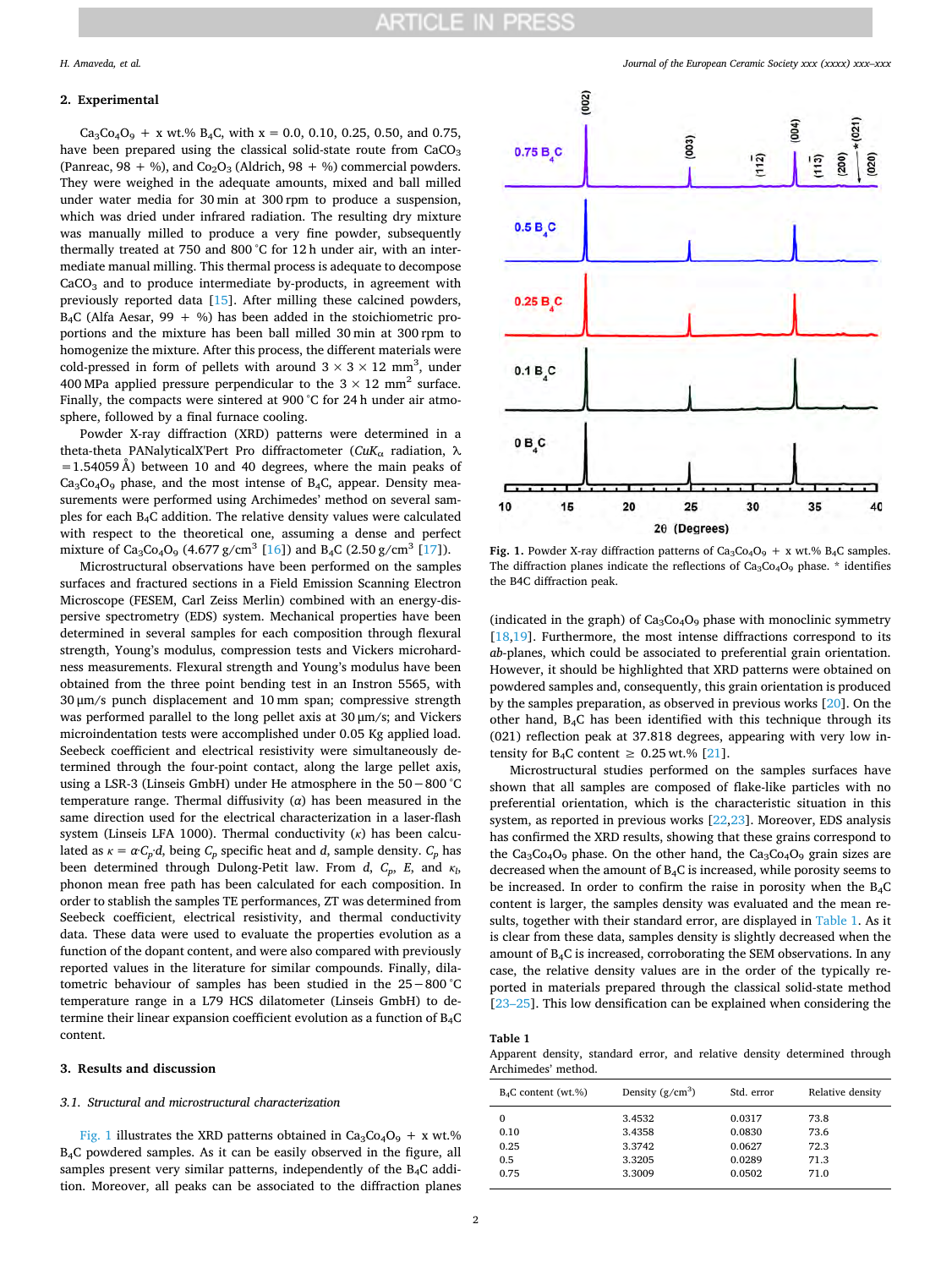#### **2. Experimental**

 $Ca_3Co_4O_9 + x$  wt.% B<sub>4</sub>C, with x = 0.0, 0.10, 0.25, 0.50, and 0.75, have been prepared using the classical solid-state route from  $CaCO<sub>3</sub>$ (Panreac, 98 + %), and  $Co<sub>2</sub>O<sub>3</sub>$  (Aldrich, 98 + %) commercial powders. They were weighed in the adequate amounts, mixed and ball milled under water media for 30 min at 300 rpm to produce a suspension, which was dried under infrared radiation. The resulting dry mixture was manually milled to produce a very fine powder, subsequently thermally treated at 750 and 800 °C for 12 h under air, with an intermediate manual milling. This thermal process is adequate to decompose  $CaCO<sub>3</sub>$  and to produce intermediate by-products, in agreement with previously reported data [[15\]](#page-5-8). After milling these calcined powders,  $B_4C$  (Alfa Aesar, 99 + %) has been added in the stoichiometric proportions and the mixture has been ball milled 30 min at 300 rpm to homogenize the mixture. After this process, the different materials were cold-pressed in form of pellets with around  $3 \times 3 \times 12$  mm<sup>3</sup>, under 400 MPa applied pressure perpendicular to the  $3 \times 12$  mm<sup>2</sup> surface. Finally, the compacts were sintered at 900 °C for 24 h under air atmosphere, followed by a final furnace cooling.

Powder X-ray diffraction (XRD) patterns were determined in a theta-theta PANalyticalX'Pert Pro diffractometer (*CuK*α radiation, λ  $=1.54059$  Å) between 10 and 40 degrees, where the main peaks of  $Ca<sub>3</sub>Co<sub>4</sub>O<sub>9</sub>$  phase, and the most intense of B<sub>4</sub>C, appear. Density measurements were performed using Archimedes' method on several samples for each B4C addition. The relative density values were calculated with respect to the theoretical one, assuming a dense and perfect mixture of Ca<sub>3</sub>Co<sub>4</sub>O<sub>9</sub> (4.677 g/cm<sup>3</sup> [\[16](#page-5-9)]) and B<sub>4</sub>C (2.50 g/cm<sup>3</sup> [[17\]](#page-6-0)).

Microstructural observations have been performed on the samples surfaces and fractured sections in a Field Emission Scanning Electron Microscope (FESEM, Carl Zeiss Merlin) combined with an energy-dispersive spectrometry (EDS) system. Mechanical properties have been determined in several samples for each composition through flexural strength, Young's modulus, compression tests and Vickers microhardness measurements. Flexural strength and Young's modulus have been obtained from the three point bending test in an Instron 5565, with 30 μm/s punch displacement and 10 mm span; compressive strength was performed parallel to the long pellet axis at 30 μm/s; and Vickers microindentation tests were accomplished under 0.05 Kg applied load. Seebeck coefficient and electrical resistivity were simultaneously determined through the four-point contact, along the large pellet axis, using a LSR-3 (Linseis GmbH) under He atmosphere in the 50−800 °C temperature range. Thermal diffusivity (*α*) has been measured in the same direction used for the electrical characterization in a laser-flash system (Linseis LFA 1000). Thermal conductivity (*κ*) has been calculated as  $\kappa = \alpha C_p d$ , being  $C_p$  specific heat and *d*, sample density.  $C_p$  has been determined through Dulong-Petit law. From *d*,  $C_p$ , *E*, and  $\kappa_l$ , phonon mean free path has been calculated for each composition. In order to stablish the samples TE performances, ZT was determined from Seebeck coefficient, electrical resistivity, and thermal conductivity data. These data were used to evaluate the properties evolution as a function of the dopant content, and were also compared with previously reported values in the literature for similar compounds. Finally, dilatometric behaviour of samples has been studied in the 25−800 °C temperature range in a L79 HCS dilatometer (Linseis GmbH) to determine their linear expansion coefficient evolution as a function of B4C content.

### **3. Results and discussion**

#### *3.1. Structural and microstructural characterization*

[Fig. 1](#page-1-0) illustrates the XRD patterns obtained in  $Ca_3Co_4O_9 + x$  wt.% B4C powdered samples. As it can be easily observed in the figure, all samples present very similar patterns, independently of the  $B_4C$  addition. Moreover, all peaks can be associated to the diffraction planes



<span id="page-1-0"></span>

**Fig. 1.** Powder X-ray diffraction patterns of  $Ca_3Co_4O_9 + x$  wt.%  $B_4C$  samples. The diffraction planes indicate the reflections of  $Ca<sub>3</sub>Co<sub>4</sub>O<sub>9</sub>$  phase. \* identifies the B4C diffraction peak.

(indicated in the graph) of  $Ca<sub>3</sub>Co<sub>4</sub>O<sub>9</sub>$  phase with monoclinic symmetry [[18](#page-6-1)[,19](#page-6-2)]. Furthermore, the most intense diffractions correspond to its *ab*-planes, which could be associated to preferential grain orientation. However, it should be highlighted that XRD patterns were obtained on powdered samples and, consequently, this grain orientation is produced by the samples preparation, as observed in previous works [\[20](#page-6-3)]. On the other hand, B4C has been identified with this technique through its (021) reflection peak at 37.818 degrees, appearing with very low intensity for  $B_4C$  content  $\geq 0.25$  wt.% [\[21](#page-6-4)].

Microstructural studies performed on the samples surfaces have shown that all samples are composed of flake-like particles with no preferential orientation, which is the characteristic situation in this system, as reported in previous works [\[22](#page-6-5)[,23](#page-6-6)]. Moreover, EDS analysis has confirmed the XRD results, showing that these grains correspond to the  $Ca<sub>3</sub>Co<sub>4</sub>O<sub>9</sub>$  phase. On the other hand, the  $Ca<sub>3</sub>Co<sub>4</sub>O<sub>9</sub>$  grain sizes are decreased when the amount of B4C is increased, while porosity seems to be increased. In order to confirm the raise in porosity when the  $B_4C$ content is larger, the samples density was evaluated and the mean results, together with their standard error, are displayed in [Table 1.](#page-1-1) As it is clear from these data, samples density is slightly decreased when the amount of B4C is increased, corroborating the SEM observations. In any case, the relative density values are in the order of the typically reported in materials prepared through the classical solid-state method [[23–25\]](#page-6-6). This low densification can be explained when considering the

### <span id="page-1-1"></span>**Table 1**

Apparent density, standard error, and relative density determined through Archimedes' method.

| $B_4C$ content (wt.%) | Density $(g/cm^3)$ | Std. error | Relative density |
|-----------------------|--------------------|------------|------------------|
| 0                     | 3.4532             | 0.0317     | 73.8             |
| 0.10                  | 3.4358             | 0.0830     | 73.6             |
| 0.25                  | 3.3742             | 0.0627     | 72.3             |
| 0.5                   | 3.3205             | 0.0289     | 71.3             |
| 0.75                  | 3.3009             | 0.0502     | 71.0             |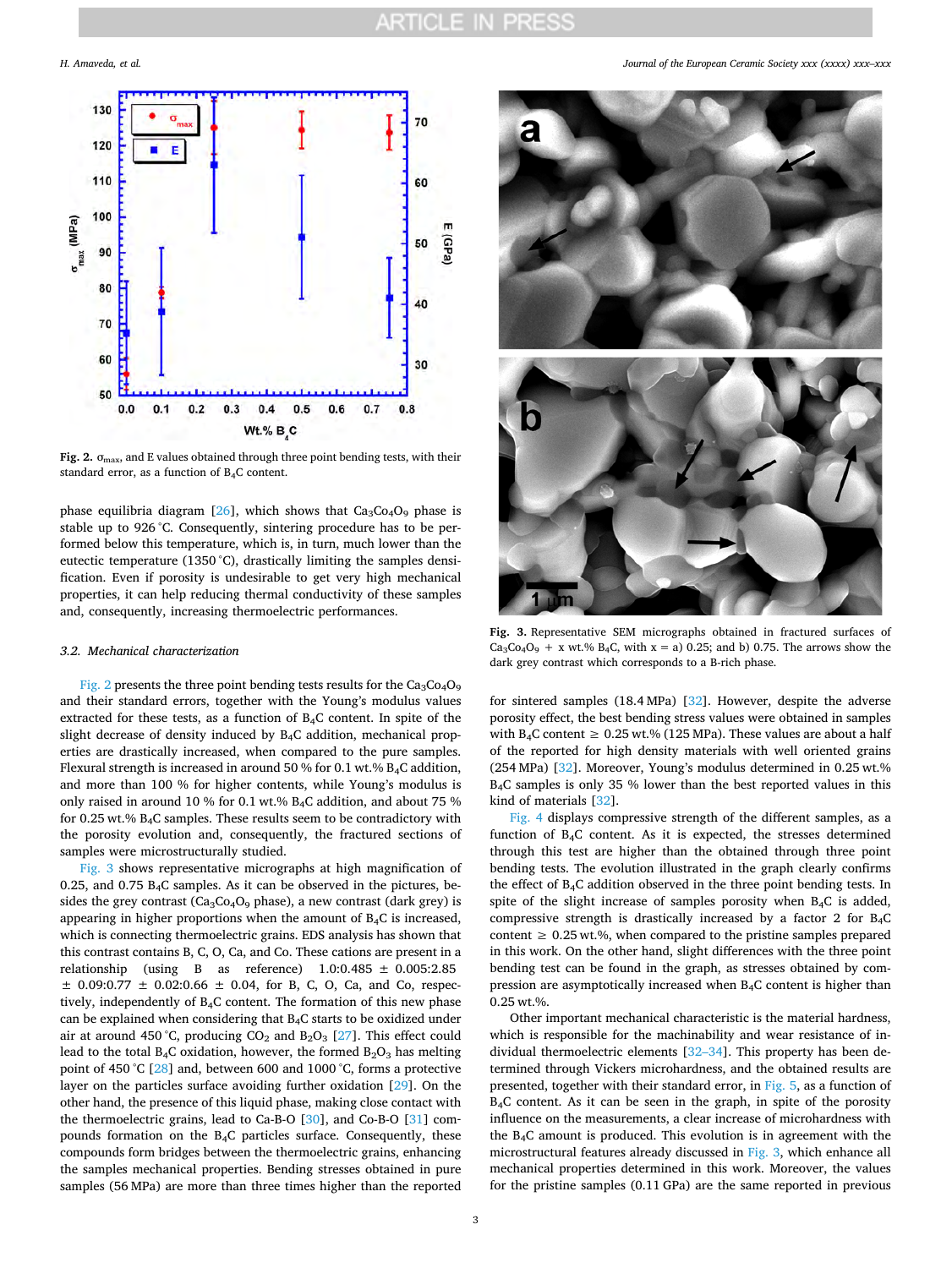<span id="page-2-0"></span>

**Fig. 2.**  $\sigma$ <sub>max</sub>, and E values obtained through three point bending tests, with their standard error, as a function of B4C content.

phase equilibria diagram  $[26]$  $[26]$ , which shows that  $Ca<sub>3</sub>Co<sub>4</sub>O<sub>9</sub>$  phase is stable up to 926 °C. Consequently, sintering procedure has to be performed below this temperature, which is, in turn, much lower than the eutectic temperature (1350 °C), drastically limiting the samples densification. Even if porosity is undesirable to get very high mechanical properties, it can help reducing thermal conductivity of these samples and, consequently, increasing thermoelectric performances.

### *3.2. Mechanical characterization*

[Fig. 2](#page-2-0) presents the three point bending tests results for the  $Ca<sub>3</sub>Co<sub>4</sub>O<sub>9</sub>$ and their standard errors, together with the Young's modulus values extracted for these tests, as a function of B4C content. In spite of the slight decrease of density induced by B4C addition, mechanical properties are drastically increased, when compared to the pure samples. Flexural strength is increased in around 50 % for 0.1 wt.% B4C addition, and more than 100 % for higher contents, while Young's modulus is only raised in around 10 % for 0.1 wt.% B4C addition, and about 75 % for 0.25 wt.%  $B_4C$  samples. These results seem to be contradictory with the porosity evolution and, consequently, the fractured sections of samples were microstructurally studied.

[Fig. 3](#page-2-1) shows representative micrographs at high magnification of 0.25, and 0.75  $B_4C$  samples. As it can be observed in the pictures, besides the grey contrast ( $Ca<sub>3</sub>Co<sub>4</sub>O<sub>9</sub>$  phase), a new contrast (dark grey) is appearing in higher proportions when the amount of B4C is increased, which is connecting thermoelectric grains. EDS analysis has shown that this contrast contains B, C, O, Ca, and Co. These cations are present in a relationship (using B as reference) 1.0:0.485 ± 0.005:2.85  $\pm$  0.09:0.77  $\pm$  0.02:0.66  $\pm$  0.04, for B, C, O, Ca, and Co, respectively, independently of  $B_4C$  content. The formation of this new phase can be explained when considering that B4C starts to be oxidized under air at around 450 °C, producing  $CO_2$  and  $B_2O_3$  [\[27](#page-6-8)]. This effect could lead to the total  $B_4C$  oxidation, however, the formed  $B_2O_3$  has melting point of 450 °C [\[28](#page-6-9)] and, between 600 and 1000 °C, forms a protective layer on the particles surface avoiding further oxidation [[29](#page-6-10)]. On the other hand, the presence of this liquid phase, making close contact with the thermoelectric grains, lead to Ca-B-O [\[30](#page-6-11)], and Co-B-O [\[31](#page-6-12)] compounds formation on the B4C particles surface. Consequently, these compounds form bridges between the thermoelectric grains, enhancing the samples mechanical properties. Bending stresses obtained in pure samples (56 MPa) are more than three times higher than the reported

*H. Amaveda, et al. Journal of the European Ceramic Society xxx (xxxx) xxx–xxx*

<span id="page-2-1"></span>

**Fig. 3.** Representative SEM micrographs obtained in fractured surfaces of  $Ca_3Co_4O_9 + x$  wt.% B<sub>4</sub>C, with x = a) 0.25; and b) 0.75. The arrows show the dark grey contrast which corresponds to a B-rich phase.

for sintered samples (18.4 MPa) [[32\]](#page-6-13). However, despite the adverse porosity effect, the best bending stress values were obtained in samples with B<sub>4</sub>C content  $\geq 0.25$  wt.% (125 MPa). These values are about a half of the reported for high density materials with well oriented grains (254 MPa) [[32](#page-6-13)]. Moreover, Young's modulus determined in 0.25 wt.% B4C samples is only 35 % lower than the best reported values in this kind of materials [\[32](#page-6-13)].

[Fig. 4](#page-3-0) displays compressive strength of the different samples, as a function of B4C content. As it is expected, the stresses determined through this test are higher than the obtained through three point bending tests. The evolution illustrated in the graph clearly confirms the effect of B4C addition observed in the three point bending tests. In spite of the slight increase of samples porosity when B4C is added, compressive strength is drastically increased by a factor 2 for  $B_4C$ content  $\geq 0.25$  wt.%, when compared to the pristine samples prepared in this work. On the other hand, slight differences with the three point bending test can be found in the graph, as stresses obtained by compression are asymptotically increased when B4C content is higher than 0.25 wt.%.

Other important mechanical characteristic is the material hardness, which is responsible for the machinability and wear resistance of individual thermoelectric elements [\[32–34](#page-6-13)]. This property has been determined through Vickers microhardness, and the obtained results are presented, together with their standard error, in [Fig. 5,](#page-3-1) as a function of B4C content. As it can be seen in the graph, in spite of the porosity influence on the measurements, a clear increase of microhardness with the B4C amount is produced. This evolution is in agreement with the microstructural features already discussed in [Fig. 3](#page-2-1), which enhance all mechanical properties determined in this work. Moreover, the values for the pristine samples (0.11 GPa) are the same reported in previous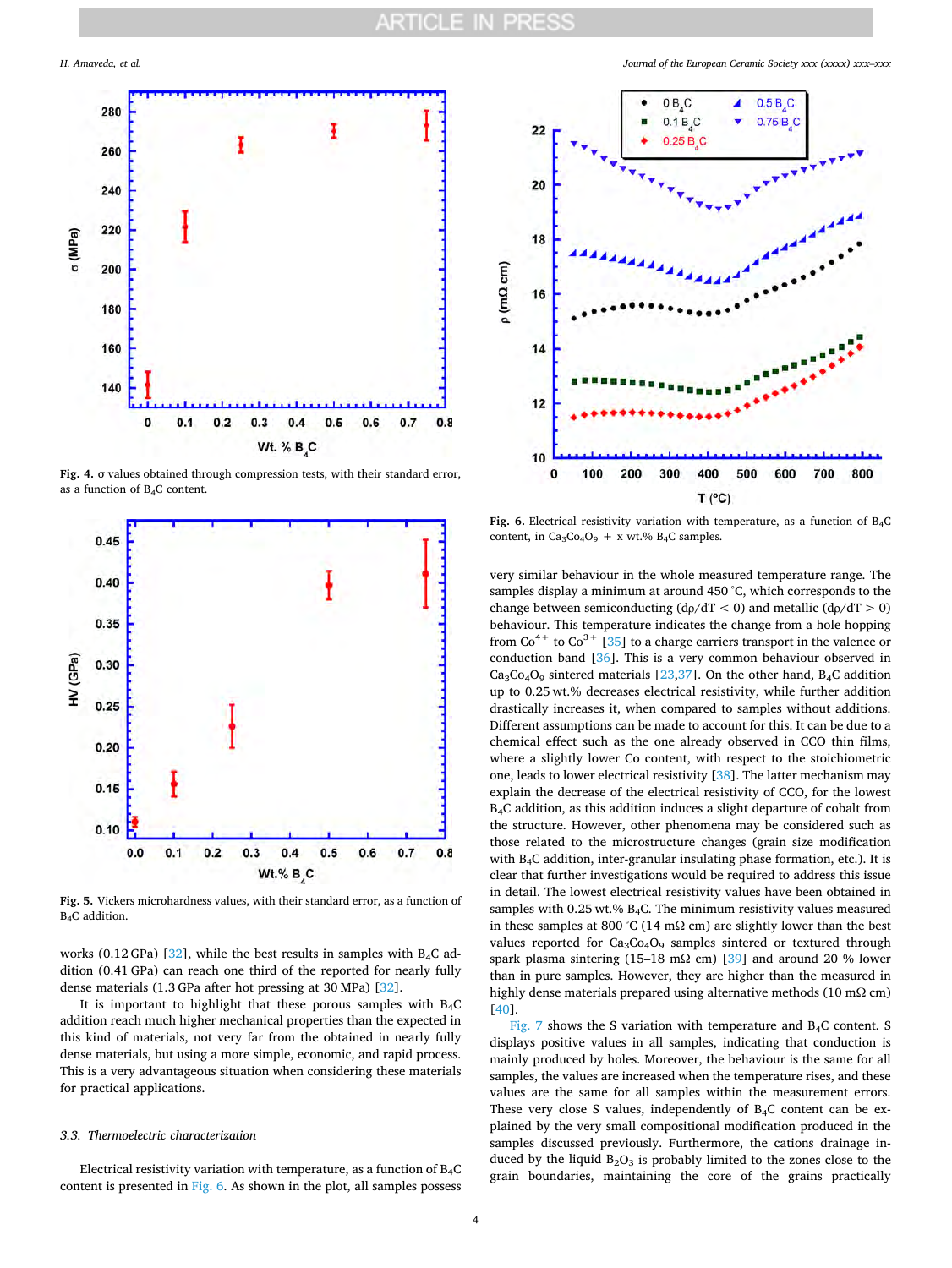<span id="page-3-0"></span>

**Fig. 4.** σ values obtained through compression tests, with their standard error, as a function of B4C content.

<span id="page-3-1"></span>

**Fig. 5.** Vickers microhardness values, with their standard error, as a function of B4C addition.

works (0.12 GPa) [\[32](#page-6-13)], while the best results in samples with  $B_4C$  addition (0.41 GPa) can reach one third of the reported for nearly fully dense materials (1.3 GPa after hot pressing at 30 MPa) [[32\]](#page-6-13).

It is important to highlight that these porous samples with  $B_4C$ addition reach much higher mechanical properties than the expected in this kind of materials, not very far from the obtained in nearly fully dense materials, but using a more simple, economic, and rapid process. This is a very advantageous situation when considering these materials for practical applications.

#### *3.3. Thermoelectric characterization*

Electrical resistivity variation with temperature, as a function of  $B_4C$ content is presented in [Fig. 6](#page-3-2). As shown in the plot, all samples possess



<span id="page-3-2"></span>Fig. 6. Electrical resistivity variation with temperature, as a function of B<sub>4</sub>C content, in  $Ca_3Co_4O_9$  + x wt.% B<sub>4</sub>C samples.

very similar behaviour in the whole measured temperature range. The samples display a minimum at around 450 °C, which corresponds to the change between semiconducting  $(d\rho/dT < 0)$  and metallic  $(d\rho/dT > 0)$ behaviour. This temperature indicates the change from a hole hopping from  $Co^{4+}$  to  $Co^{3+}$  [[35\]](#page-6-14) to a charge carriers transport in the valence or conduction band [\[36](#page-6-15)]. This is a very common behaviour observed in  $Ca<sub>3</sub>Co<sub>4</sub>O<sub>9</sub>$  sintered materials [\[23](#page-6-6)[,37](#page-6-16)]. On the other hand, B<sub>4</sub>C addition up to 0.25 wt.% decreases electrical resistivity, while further addition drastically increases it, when compared to samples without additions. Different assumptions can be made to account for this. It can be due to a chemical effect such as the one already observed in CCO thin films, where a slightly lower Co content, with respect to the stoichiometric one, leads to lower electrical resistivity [\[38](#page-6-17)]. The latter mechanism may explain the decrease of the electrical resistivity of CCO, for the lowest B4C addition, as this addition induces a slight departure of cobalt from the structure. However, other phenomena may be considered such as those related to the microstructure changes (grain size modification with B4C addition, inter-granular insulating phase formation, etc.). It is clear that further investigations would be required to address this issue in detail. The lowest electrical resistivity values have been obtained in samples with 0.25 wt.% B4C. The minimum resistivity values measured in these samples at 800 °C (14 m $\Omega$  cm) are slightly lower than the best values reported for Ca<sub>3</sub>Co<sub>4</sub>O<sub>9</sub> samples sintered or textured through spark plasma sintering (15–18 m $\Omega$  cm) [\[39](#page-6-18)] and around 20 % lower than in pure samples. However, they are higher than the measured in highly dense materials prepared using alternative methods (10 mΩ cm) [[40\]](#page-6-19).

[Fig. 7](#page-4-0) shows the S variation with temperature and  $B_4C$  content. S displays positive values in all samples, indicating that conduction is mainly produced by holes. Moreover, the behaviour is the same for all samples, the values are increased when the temperature rises, and these values are the same for all samples within the measurement errors. These very close S values, independently of B4C content can be explained by the very small compositional modification produced in the samples discussed previously. Furthermore, the cations drainage induced by the liquid  $B_2O_3$  is probably limited to the zones close to the grain boundaries, maintaining the core of the grains practically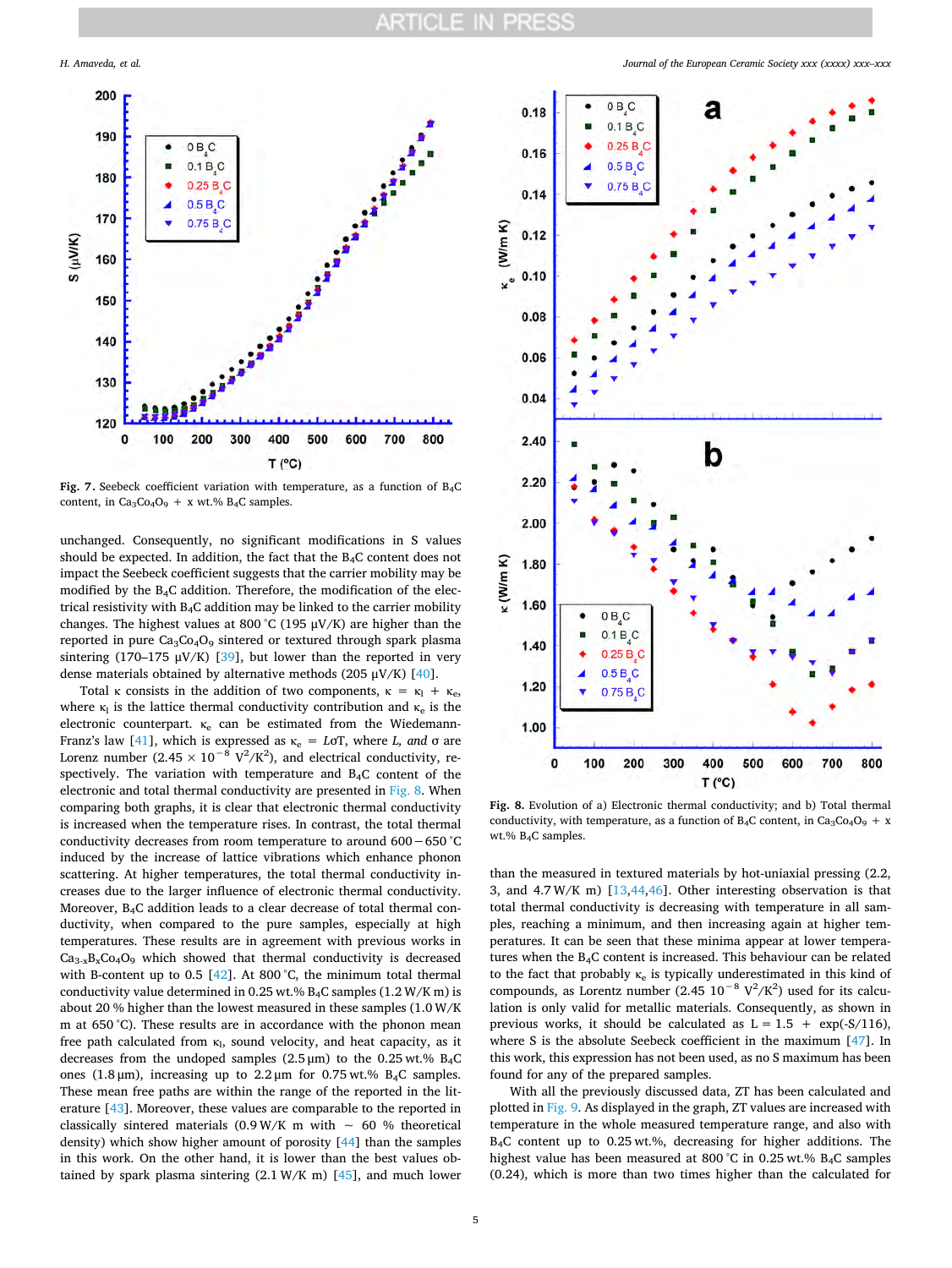<span id="page-4-0"></span>

Fig. 7. Seebeck coefficient variation with temperature, as a function of B<sub>4</sub>C content, in  $Ca_3Co_4O_9$  + x wt.% B<sub>4</sub>C samples.

unchanged. Consequently, no significant modifications in S values should be expected. In addition, the fact that the  $B_4C$  content does not impact the Seebeck coefficient suggests that the carrier mobility may be modified by the B4C addition. Therefore, the modification of the electrical resistivity with B4C addition may be linked to the carrier mobility changes. The highest values at 800 °C (195  $\mu$ V/K) are higher than the reported in pure  $Ca<sub>3</sub>Co<sub>4</sub>O<sub>9</sub>$  sintered or textured through spark plasma sintering (170–175  $\mu$ V/K) [\[39](#page-6-18)], but lower than the reported in very dense materials obtained by alternative methods (205  $\mu$ V/K) [\[40](#page-6-19)].

Total κ consists in the addition of two components,  $\kappa = \kappa_1 + \kappa_e$ , where  $\kappa_1$  is the lattice thermal conductivity contribution and  $\kappa_e$  is the electronic counterpart.  $\kappa_e$  can be estimated from the Wiedemann-Franz's law [\[41](#page-6-20)], which is expressed as  $\kappa_e = L \sigma T$ , where *L*, and  $\sigma$  are Lorenz number (2.45  $\times$  10<sup>-8</sup> V<sup>2</sup>/K<sup>2</sup>), and electrical conductivity, respectively. The variation with temperature and B4C content of the electronic and total thermal conductivity are presented in [Fig. 8.](#page-4-1) When comparing both graphs, it is clear that electronic thermal conductivity is increased when the temperature rises. In contrast, the total thermal conductivity decreases from room temperature to around 600−650 °C induced by the increase of lattice vibrations which enhance phonon scattering. At higher temperatures, the total thermal conductivity increases due to the larger influence of electronic thermal conductivity. Moreover, B4C addition leads to a clear decrease of total thermal conductivity, when compared to the pure samples, especially at high temperatures. These results are in agreement with previous works in  $Ca_{3-x}B_xCo_4O_9$  which showed that thermal conductivity is decreased with B-content up to 0.5  $[42]$  $[42]$ . At 800 °C, the minimum total thermal conductivity value determined in 0.25 wt.%  $B_4C$  samples (1.2 W/K m) is about 20 % higher than the lowest measured in these samples (1.0 W/K m at 650 °C). These results are in accordance with the phonon mean free path calculated from  $\kappa$ <sub>1</sub>, sound velocity, and heat capacity, as it decreases from the undoped samples  $(2.5 \,\mu\text{m})$  to the 0.25 wt.% B<sub>4</sub>C ones (1.8 μm), increasing up to 2.2 μm for 0.75 wt.% B4C samples. These mean free paths are within the range of the reported in the literature [[43\]](#page-6-22). Moreover, these values are comparable to the reported in classically sintered materials (0.9 W/K m with  $~\sim~$  60 % theoretical density) which show higher amount of porosity [\[44](#page-6-23)] than the samples in this work. On the other hand, it is lower than the best values obtained by spark plasma sintering  $(2.1 \text{ W/K m})$  [[45\]](#page-6-24), and much lower

*H. Amaveda, et al. Journal of the European Ceramic Society xxx (xxxx) xxx–xxx*

<span id="page-4-1"></span>

**Fig. 8.** Evolution of a) Electronic thermal conductivity; and b) Total thermal conductivity, with temperature, as a function of  $B_4C$  content, in  $Ca_3Co_4O_9 + x$ wt.% B4C samples.

than the measured in textured materials by hot-uniaxial pressing (2.2, 3, and 4.7 W/K m) [[13,](#page-5-10)[44,](#page-6-23)[46\]](#page-6-25). Other interesting observation is that total thermal conductivity is decreasing with temperature in all samples, reaching a minimum, and then increasing again at higher temperatures. It can be seen that these minima appear at lower temperatures when the B4C content is increased. This behaviour can be related to the fact that probably  $\kappa_e$  is typically underestimated in this kind of compounds, as Lorentz number (2.45  $10^{-8}$  V<sup>2</sup>/K<sup>2</sup>) used for its calculation is only valid for metallic materials. Consequently, as shown in previous works, it should be calculated as  $L = 1.5 + \exp(-S/116)$ , where S is the absolute Seebeck coefficient in the maximum [[47\]](#page-6-26). In this work, this expression has not been used, as no S maximum has been found for any of the prepared samples.

With all the previously discussed data, ZT has been calculated and plotted in [Fig. 9.](#page-5-11) As displayed in the graph, ZT values are increased with temperature in the whole measured temperature range, and also with B4C content up to 0.25 wt.%, decreasing for higher additions. The highest value has been measured at 800 °C in 0.25 wt.% B4C samples (0.24), which is more than two times higher than the calculated for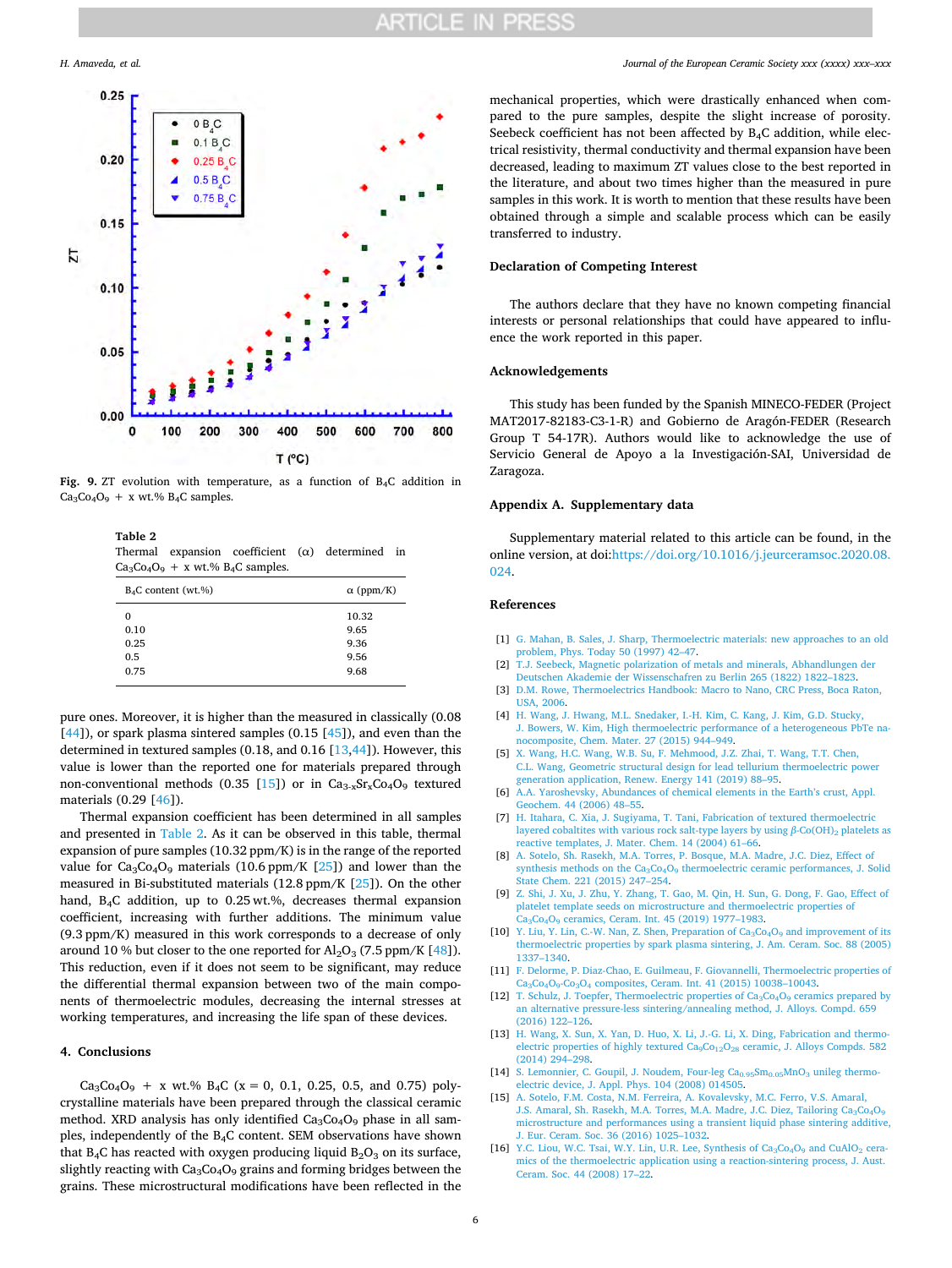# **ARTICLE IN PRESS**

<span id="page-5-11"></span>

**Fig. 9.** ZT evolution with temperature, as a function of B4C addition in  $Ca<sub>3</sub>Co<sub>4</sub>O<sub>9</sub> + x wt. % B<sub>4</sub>C samples.$ 

# <span id="page-5-12"></span>**Table 2**

Thermal expansion coefficient (α) determined in  $Ca<sub>3</sub>Co<sub>4</sub>O<sub>9</sub> + x wt. % B<sub>4</sub>C samples.$ 

| $B_4C$ content (wt.%) | $\alpha$ (ppm/K) |
|-----------------------|------------------|
| 0                     | 10.32            |
| 0.10                  | 9.65             |
| 0.25                  | 9.36             |
| 0.5                   | 9.56             |
| 0.75                  | 9.68             |

pure ones. Moreover, it is higher than the measured in classically (0.08  $[44]$  $[44]$ ), or spark plasma sintered samples  $(0.15 [45])$  $(0.15 [45])$  $(0.15 [45])$ , and even than the determined in textured samples (0.18, and 0.16 [\[13](#page-5-10)[,44](#page-6-23)]). However, this value is lower than the reported one for materials prepared through non-conventional methods (0.35 [[15](#page-5-8)]) or in  $Ca_{3-x}Sr_{x}Co_{4}O_{9}$  textured materials (0.29 [[46\]](#page-6-25)).

Thermal expansion coefficient has been determined in all samples and presented in [Table 2](#page-5-12). As it can be observed in this table, thermal expansion of pure samples (10.32 ppm/K) is in the range of the reported value for  $Ca_3Co_4O_9$  materials (10.6 ppm/K [\[25](#page-6-27)]) and lower than the measured in Bi-substituted materials (12.8 ppm/K [\[25](#page-6-27)]). On the other hand, B4C addition, up to 0.25 wt.%, decreases thermal expansion coefficient, increasing with further additions. The minimum value (9.3 ppm/K) measured in this work corresponds to a decrease of only around 10 % but closer to the one reported for  $\text{Al}_2\text{O}_3$  (7.5 ppm/K [\[48](#page-6-28)]). This reduction, even if it does not seem to be significant, may reduce the differential thermal expansion between two of the main components of thermoelectric modules, decreasing the internal stresses at working temperatures, and increasing the life span of these devices.

### **4. Conclusions**

 $Ca_3Co_4O_9$  + x wt.% B<sub>4</sub>C (x = 0, 0.1, 0.25, 0.5, and 0.75) polycrystalline materials have been prepared through the classical ceramic method. XRD analysis has only identified  $Ca<sub>3</sub>Co<sub>4</sub>O<sub>9</sub>$  phase in all samples, independently of the B4C content. SEM observations have shown that  $B_4C$  has reacted with oxygen producing liquid  $B_2O_3$  on its surface, slightly reacting with  $Ca_3Co_4O_9$  grains and forming bridges between the grains. These microstructural modifications have been reflected in the mechanical properties, which were drastically enhanced when compared to the pure samples, despite the slight increase of porosity. Seebeck coefficient has not been affected by B4C addition, while electrical resistivity, thermal conductivity and thermal expansion have been decreased, leading to maximum ZT values close to the best reported in the literature, and about two times higher than the measured in pure samples in this work. It is worth to mention that these results have been obtained through a simple and scalable process which can be easily transferred to industry.

# **Declaration of Competing Interest**

The authors declare that they have no known competing financial interests or personal relationships that could have appeared to influence the work reported in this paper.

### **Acknowledgements**

This study has been funded by the Spanish MINECO-FEDER (Project MAT2017-82183-C3-1-R) and Gobierno de Aragón-FEDER (Research Group T 54-17R). Authors would like to acknowledge the use of Servicio General de Apoyo a la Investigación-SAI, Universidad de Zaragoza.

## **Appendix A. Supplementary data**

Supplementary material related to this article can be found, in the online version, at doi[:https://doi.org/10.1016/j.jeurceramsoc.2020.08.](https://doi.org/10.1016/j.jeurceramsoc.2020.08.024)  [024](https://doi.org/10.1016/j.jeurceramsoc.2020.08.024).

### **References**

- <span id="page-5-0"></span>[1] [G. Mahan, B. Sales, J. Sharp, Thermoelectric materials: new approaches to an old](http://refhub.elsevier.com/S0955-2219(20)30666-X/sbref0005) [problem, Phys. Today 50 \(1997\) 42–47.](http://refhub.elsevier.com/S0955-2219(20)30666-X/sbref0005)
- <span id="page-5-1"></span>[2] [T.J. Seebeck, Magnetic polarization of metals and minerals, Abhandlungen der](http://refhub.elsevier.com/S0955-2219(20)30666-X/sbref0010)  [Deutschen Akademie der Wissenschafren zu Berlin 265 \(1822\) 1822–1823.](http://refhub.elsevier.com/S0955-2219(20)30666-X/sbref0010)
- <span id="page-5-2"></span>[3] D.M. Rowe, Thermoelectrics Handbook: Macro to Nano, CRC Press, Boca Raton, [USA, 2006.](http://refhub.elsevier.com/S0955-2219(20)30666-X/sbref0015)
- <span id="page-5-3"></span>[4] [H. Wang, J. Hwang, M.L. Snedaker, I.-H. Kim, C. Kang, J. Kim, G.D. Stucky,](http://refhub.elsevier.com/S0955-2219(20)30666-X/sbref0020)  [J. Bowers, W. Kim, High thermoelectric performance of a heterogeneous PbTe na](http://refhub.elsevier.com/S0955-2219(20)30666-X/sbref0020)[nocomposite, Chem. Mater. 27 \(2015\) 944–949.](http://refhub.elsevier.com/S0955-2219(20)30666-X/sbref0020)
- <span id="page-5-4"></span>[5] [X. Wang, H.C. Wang, W.B. Su, F. Mehmood, J.Z. Zhai, T. Wang, T.T. Chen,](http://refhub.elsevier.com/S0955-2219(20)30666-X/sbref0025)  [C.L. Wang, Geometric structural design for lead tellurium thermoelectric power](http://refhub.elsevier.com/S0955-2219(20)30666-X/sbref0025) eneration application, Renew. Energy 141 (2019) 88-95.
- <span id="page-5-5"></span>[6] [A.A. Yaroshevsky, Abundances of chemical elements in the Earth's crust, Appl.](http://refhub.elsevier.com/S0955-2219(20)30666-X/sbref0030) [Geochem. 44 \(2006\) 48–55.](http://refhub.elsevier.com/S0955-2219(20)30666-X/sbref0030)
- <span id="page-5-6"></span>[7] [H. Itahara, C. Xia, J. Sugiyama, T. Tani, Fabrication of textured thermoelectric](http://refhub.elsevier.com/S0955-2219(20)30666-X/sbref0035) [layered cobaltites with various rock salt-type layers by using](http://refhub.elsevier.com/S0955-2219(20)30666-X/sbref0035)  $β$ -Co(OH)<sub>2</sub> platelets as [reactive templates, J. Mater. Chem. 14 \(2004\) 61–66.](http://refhub.elsevier.com/S0955-2219(20)30666-X/sbref0035)
- [8] [A. Sotelo, Sh. Rasekh, M.A. Torres, P. Bosque, M.A. Madre, J.C. Diez, Effect of](http://refhub.elsevier.com/S0955-2219(20)30666-X/sbref0040) synthesis methods on the Ca<sub>3</sub>Co<sub>4</sub>O<sub>9</sub> thermoelectric ceramic performances, J. Solid [State Chem. 221 \(2015\) 247–254.](http://refhub.elsevier.com/S0955-2219(20)30666-X/sbref0040)
- [9] [Z. Shi, J. Xu, J. Zhu, Y. Zhang, T. Gao, M. Qin, H. Sun, G. Dong, F. Gao, Effect of](http://refhub.elsevier.com/S0955-2219(20)30666-X/sbref0045) [platelet template seeds on microstructure and thermoelectric properties of](http://refhub.elsevier.com/S0955-2219(20)30666-X/sbref0045)  [Ca3Co4O9 ceramics, Ceram. Int. 45 \(2019\) 1977–1983.](http://refhub.elsevier.com/S0955-2219(20)30666-X/sbref0045)
- [10] Y. Liu, Y. Lin, C.-W. Nan, Z. Shen, Preparation of  $Ca<sub>3</sub>Co<sub>4</sub>O<sub>9</sub>$  and improvement of its [thermoelectric properties by spark plasma sintering, J. Am. Ceram. Soc. 88 \(2005\)](http://refhub.elsevier.com/S0955-2219(20)30666-X/sbref0050)  [1337–1340.](http://refhub.elsevier.com/S0955-2219(20)30666-X/sbref0050)
- [11] [F. Delorme, P. Diaz-Chao, E. Guilmeau, F. Giovannelli, Thermoelectric properties of](http://refhub.elsevier.com/S0955-2219(20)30666-X/sbref0055)  [Ca3Co4O9-Co3O4 composites, Ceram. Int. 41 \(2015\) 10038–10043.](http://refhub.elsevier.com/S0955-2219(20)30666-X/sbref0055)
- [12] T. Schulz, J. Toepfer, Thermoelectric properties of  $Ca_3Co_4O_9$  ceramics prepared by [an alternative pressure-less sintering/annealing method, J. Alloys. Compd. 659](http://refhub.elsevier.com/S0955-2219(20)30666-X/sbref0060)  [\(2016\) 122–126.](http://refhub.elsevier.com/S0955-2219(20)30666-X/sbref0060)
- <span id="page-5-10"></span>[13] [H. Wang, X. Sun, X. Yan, D. Huo, X. Li, J.-G. Li, X. Ding, Fabrication and thermo](http://refhub.elsevier.com/S0955-2219(20)30666-X/sbref0065)electric properties of highly textured Ca<sub>9</sub>Co<sub>12</sub>O<sub>28</sub> ceramic, J. Alloys Compds. 582 [\(2014\) 294–298.](http://refhub.elsevier.com/S0955-2219(20)30666-X/sbref0065)
- <span id="page-5-7"></span>[14] S. Lemonnier, C. Goupil, J. Noudem, Four-leg  $\text{Ca}_{0.95}\text{Sm}_{0.05}\text{MnO}_3$  unileg thermo [electric device, J. Appl. Phys. 104 \(2008\) 014505.](http://refhub.elsevier.com/S0955-2219(20)30666-X/sbref0070)
- <span id="page-5-8"></span>[15] [A. Sotelo, F.M. Costa, N.M. Ferreira, A. Kovalevsky, M.C. Ferro, V.S. Amaral,](http://refhub.elsevier.com/S0955-2219(20)30666-X/sbref0075)  J.S. Amaral, Sh. Rasekh, M.A. Torres, M.A. Madre, J.C. Diez, Tailoring Ca<sub>3</sub>Co<sub>4</sub>O<sub>9</sub> [microstructure and performances using a transient liquid phase sintering additive,](http://refhub.elsevier.com/S0955-2219(20)30666-X/sbref0075)  [J. Eur. Ceram. Soc. 36 \(2016\) 1025–1032.](http://refhub.elsevier.com/S0955-2219(20)30666-X/sbref0075)
- <span id="page-5-9"></span>[16] Y.C. Liou, W.C. Tsai, W.Y. Lin, U.R. Lee, Synthesis of  $Ca_3Co_4O_9$  and  $CuAlO_2$  cera[mics of the thermoelectric application using a reaction-sintering process, J. Aust.](http://refhub.elsevier.com/S0955-2219(20)30666-X/sbref0080) [Ceram. Soc. 44 \(2008\) 17–22.](http://refhub.elsevier.com/S0955-2219(20)30666-X/sbref0080)